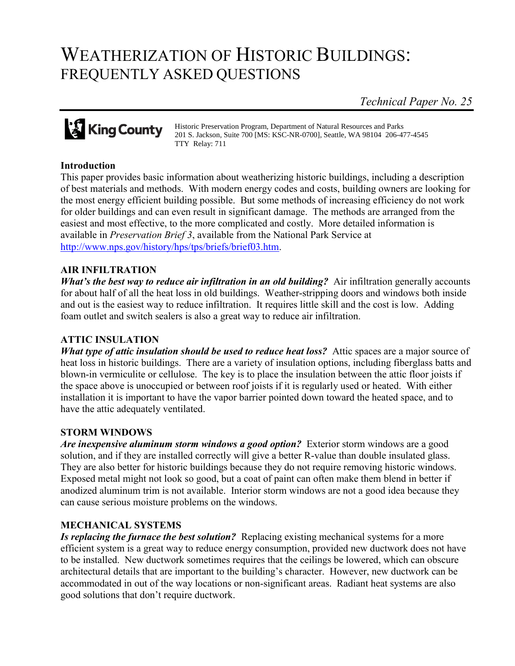# WEATHERIZATION OF HISTORIC BUILDINGS: FREQUENTLY ASKED QUESTIONS

*Technical Paper No. 25*



Historic Preservation Program, Department of Natural Resources and Parks 201 S. Jackson, Suite 700 [MS: KSC-NR-0700], Seattle, WA 98104 206-477-4545 TTY Relay: 711

# **Introduction**

This paper provides basic information about weatherizing historic buildings, including a description of best materials and methods. With modern energy codes and costs, building owners are looking for the most energy efficient building possible. But some methods of increasing efficiency do not work for older buildings and can even result in significant damage. The methods are arranged from the easiest and most effective, to the more complicated and costly. More detailed information is available in *Preservation Brief 3*, available from the National Park Service at [http://www.nps.gov/history/hps/tps/briefs/brief03.htm.](http://www.nps.gov/history/hps/tps/briefs/brief03.htm)

# **AIR INFILTRATION**

*What's the best way to reduce air infiltration in an old building?* Air infiltration generally accounts for about half of all the heat loss in old buildings. Weather-stripping doors and windows both inside and out is the easiest way to reduce infiltration. It requires little skill and the cost is low. Adding foam outlet and switch sealers is also a great way to reduce air infiltration.

#### **ATTIC INSULATION**

*What type of attic insulation should be used to reduce heat loss?* Attic spaces are a major source of heat loss in historic buildings. There are a variety of insulation options, including fiberglass batts and blown-in vermiculite or cellulose. The key is to place the insulation between the attic floor joists if the space above is unoccupied or between roof joists if it is regularly used or heated. With either installation it is important to have the vapor barrier pointed down toward the heated space, and to have the attic adequately ventilated.

#### **STORM WINDOWS**

*Are inexpensive aluminum storm windows a good option?* Exterior storm windows are a good solution, and if they are installed correctly will give a better R-value than double insulated glass. They are also better for historic buildings because they do not require removing historic windows. Exposed metal might not look so good, but a coat of paint can often make them blend in better if anodized aluminum trim is not available. Interior storm windows are not a good idea because they can cause serious moisture problems on the windows.

#### **MECHANICAL SYSTEMS**

*Is replacing the furnace the best solution?* Replacing existing mechanical systems for a more efficient system is a great way to reduce energy consumption, provided new ductwork does not have to be installed. New ductwork sometimes requires that the ceilings be lowered, which can obscure architectural details that are important to the building's character. However, new ductwork can be accommodated in out of the way locations or non-significant areas. Radiant heat systems are also good solutions that don't require ductwork.